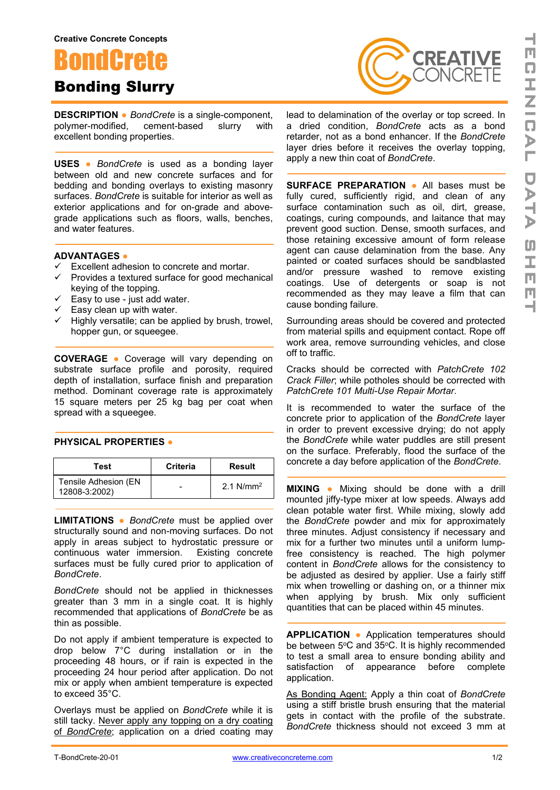



**DESCRIPTION ●** *BondCrete* is a single-component, polymer-modified, cement-based slurry with excellent bonding properties.

**USES ●** *BondCrete* is used as a bonding layer between old and new concrete surfaces and for bedding and bonding overlays to existing masonry surfaces. *BondCrete* is suitable for interior as well as exterior applications and for on-grade and abovegrade applications such as floors, walls, benches, and water features.

## **ADVANTAGES ●**

- $\checkmark$  Excellent adhesion to concrete and mortar.
- $\checkmark$  Provides a textured surface for good mechanical keying of the topping.
- $\checkmark$  Easy to use just add water.
- $\checkmark$  Easy clean up with water.
- $\checkmark$  Highly versatile; can be applied by brush, trowel, hopper gun, or squeegee.

**COVERAGE ●** Coverage will vary depending on substrate surface profile and porosity, required depth of installation, surface finish and preparation method. Dominant coverage rate is approximately 15 square meters per 25 kg bag per coat when spread with a squeegee.

## **PHYSICAL PROPERTIES ●**

| Test                                   | <b>Criteria</b> | Result       |
|----------------------------------------|-----------------|--------------|
| Tensile Adhesion (EN)<br>12808-3:2002) |                 | 2.1 $N/mm^2$ |

**LIMITATIONS ●** *BondCrete* must be applied over structurally sound and non-moving surfaces. Do not apply in areas subject to hydrostatic pressure or continuous water immersion. Existing concrete surfaces must be fully cured prior to application of *BondCrete*.

*BondCrete* should not be applied in thicknesses greater than 3 mm in a single coat. It is highly recommended that applications of *BondCrete* be as thin as possible.

Do not apply if ambient temperature is expected to drop below 7°C during installation or in the proceeding 48 hours, or if rain is expected in the proceeding 24 hour period after application. Do not mix or apply when ambient temperature is expected to exceed 35°C.

Overlays must be applied on *BondCrete* while it is still tacky. Never apply any topping on a dry coating of *BondCrete*; application on a dried coating may

lead to delamination of the overlay or top screed. In a dried condition, *BondCrete* acts as a bond retarder, not as a bond enhancer. If the *BondCrete* layer dries before it receives the overlay topping, apply a new thin coat of *BondCrete*.

**SURFACE PREPARATION ●** All bases must be fully cured, sufficiently rigid, and clean of any surface contamination such as oil, dirt, grease, coatings, curing compounds, and laitance that may prevent good suction. Dense, smooth surfaces, and those retaining excessive amount of form release agent can cause delamination from the base. Any painted or coated surfaces should be sandblasted and/or pressure washed to remove existing coatings. Use of detergents or soap is not recommended as they may leave a film that can cause bonding failure.

Surrounding areas should be covered and protected from material spills and equipment contact. Rope off work area, remove surrounding vehicles, and close off to traffic.

Cracks should be corrected with *PatchCrete 102 Crack Filler*; while potholes should be corrected with *PatchCrete 101 Multi-Use Repair Mortar*.

It is recommended to water the surface of the concrete prior to application of the *BondCrete* layer in order to prevent excessive drying; do not apply the *BondCrete* while water puddles are still present on the surface. Preferably, flood the surface of the concrete a day before application of the *BondCrete*.

**MIXING ●** Mixing should be done with a drill mounted jiffy-type mixer at low speeds. Always add clean potable water first. While mixing, slowly add the *BondCrete* powder and mix for approximately three minutes. Adjust consistency if necessary and mix for a further two minutes until a uniform lumpfree consistency is reached. The high polymer content in *BondCrete* allows for the consistency to be adjusted as desired by applier. Use a fairly stiff mix when trowelling or dashing on, or a thinner mix when applying by brush. Mix only sufficient quantities that can be placed within 45 minutes.

**APPLICATION ●** Application temperatures should be between  $5^{\circ}$ C and  $35^{\circ}$ C. It is highly recommended to test a small area to ensure bonding ability and satisfaction of appearance before complete application.

As Bonding Agent: Apply a thin coat of *BondCrete* using a stiff bristle brush ensuring that the material gets in contact with the profile of the substrate. *BondCrete* thickness should not exceed 3 mm at